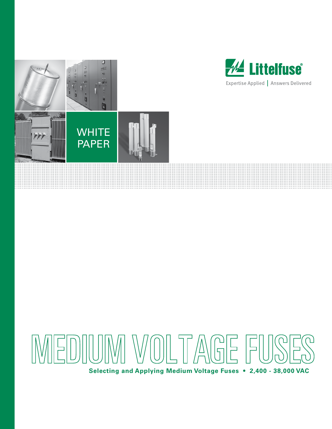





**Selecting and Applying Medium Voltage Fuses • 2,400 - 38,000 VAC**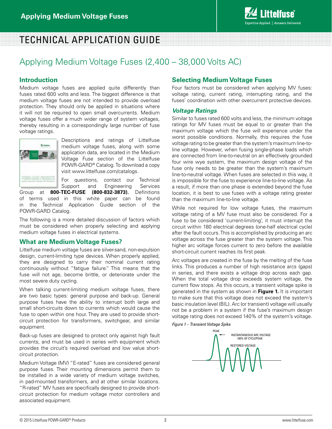# TECHNICAL APPLICATION GUIDE

## Applying Medium Voltage Fuses (2,400 – 38,000 Volts AC)

#### **Introduction**

Medium voltage fuses are applied quite differently than fuses rated 600 volts and less. The biggest difference is that medium voltage fuses are not intended to provide overload protection. They should only be applied in situations where it will not be required to open small overcurrents. Medium voltage fuses offer a much wider range of system voltages, thereby resulting in a correspondingly large number of fuse voltage ratings.



Descriptions and ratings of Littelfuse medium voltage fuses, along with some application data, are located in the Medium Voltage Fuse section of the Littelfuse POWR-GARD® Catalog. To download a copy visit www.littelfuse.com/catalogs.

For questions, contact our Technical

Support and Engineering Services

Group at **800-TEC-FUSE (800-832-3873).** Definitions of terms used in this white paper can be found in the Technical Application Guide section of the POWR-GARD Catalog.

The following is a more detailed discussion of factors which must be considered when properly selecting and applying medium voltage fuses in electrical systems.

#### **What are Medium Voltage Fuses?**

Littelfuse medium voltage fuses are silver-sand, non-expulsion design, current-limiting type devices. When properly applied, they are designed to carry their nominal current rating continuously without "fatigue failure." This means that the fuse will not age, become brittle, or deteriorate under the most severe duty cycling.

When talking current-limiting medium voltage fuses, there are two basic types: general purpose and back-up. General purpose fuses have the ability to interrupt both large and small short-circuits down to currents which would cause the fuse to open within one hour. They are used to provide shortcircuit protection for transformers, switchgear, and similar equipment.

Back-up fuses are designed to protect only against high fault currents, and must be used in series with equipment which provides the circuit's required overload and low value shortcircuit protection.

Medium Voltage (MV) "E-rated" fuses are considered general purpose fuses. Their mounting dimensions permit them to be installed in a wide variety of medium voltage switches, in pad-mounted transformers, and at other similar locations. "R-rated" MV fuses are specifically designed to provide shortcircuit protection for medium voltage motor controllers and associated equipment.

#### **Selecting Medium Voltage Fuses**

Four factors must be considered when applying MV fuses: voltage rating, current rating, interrupting rating, and the fuses' coordination with other overcurrent protective devices.

#### *Voltage Ratings*

Similar to fuses rated 600 volts and less, the minimum voltage ratings for MV fuses must be equal to or greater than the maximum voltage which the fuse will experience under the worst possible conditions. Normally, this requires the fuse voltage rating to be greater than the system's maximum line-toline voltage. However, when fusing single-phase loads which are connected from line-to-neutral on an effectively grounded four wire wye system, the maximum design voltage of the fuse only needs to be greater than the system's maximum line-to-neutral voltage. When fuses are selected in this way, it is impossible for the fuse to experience line-to-line voltage. As a result, if more than one phase is extended beyond the fuse location, it is best to use fuses with a voltage rating greater than the maximum line-to-line voltage.

While not required for low voltage fuses, the maximum voltage rating of a MV fuse must also be considered. For a fuse to be considered 'current-limiting', it must interrupt the circuit within 180 electrical degrees (one-half electrical cycle) after the fault occurs. This is accomplished by producing an arc voltage across the fuse greater than the system voltage. This higher arc voltage forces current to zero before the available short-circuit current reaches its first peak.

Arc voltages are created in the fuse by the melting of the fuse links. This produces a number of high resistance arcs (gaps) in series, and there exists a voltage drop across each gap. When the total voltage drop exceeds system voltage, the current flow stops. As this occurs, a transient voltage spike is generated in the system as shown in **Figure 1.** It is important to make sure that this voltage does not exceed the system's basic insulation level (BIL). Arc (or transient) voltage will usually not be a problem in a system if the fuse's maximum design voltage rating does not exceed 140% of the system's voltage.

*Figure 1 – Transient Voltage Spike*

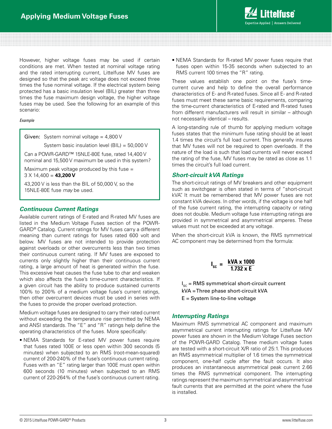

However, higher voltage fuses may be used if certain conditions are met. When tested at nominal voltage rating and the rated interrupting current, Littelfuse MV fuses are designed so that the peak arc voltage does not exceed three times the fuse nominal voltage. If the electrical system being protected has a basic insulation level (BIL) greater than three times the fuse maximum design voltage, the higher voltage fuses may be used. See the following for an example of this scenario:

#### *Example*

Given: System nominal voltage =  $4,800$  V

System basic insulation level (BIL) = 50,000 V

Can a POWR-GARD™ 15NLE-80E fuse, rated 14,400 V nominal and 15,500 V maximum be used in this system?

Maximum peak voltage produced by this fuse  $=$ 3 X 14,400 = **43,200 V**

43,200 V is less than the BIL of 50,000 V, so the 15NLE-80E fuse *may* be used.

#### *Continuous Current Ratings*

Available current ratings of E-rated and R-rated MV fuses are listed in the Medium Voltage Fuses section of the POWR-GARD® Catalog. Current ratings for MV fuses carry a different meaning than current ratings for fuses rated 600 volt and below. MV fuses are not intended to provide protection against overloads or other overcurrents less than two times their continuous current rating. If MV fuses are exposed to currents only slightly higher than their continuous current rating, a large amount of heat is generated within the fuse. This excessive heat causes the fuse tube to char and weaken which also affects the fuse's time-current characteristics. If a given circuit has the ability to produce sustained currents 100% to 200% of a medium voltage fuse's current ratings, then other overcurrent devices must be used in series with the fuses to provide the proper overload protection.

Medium voltage fuses are designed to carry their rated current without exceeding the temperature rise permitted by NEMA and ANSI standards. The "E" and "R" ratings help define the operating characteristics of the fuses. More specifically:

• NEMA Standards for E-rated MV power fuses require that fuses rated 100E or less open within 300 seconds (5 minutes) when subjected to an RMS (root-mean-squared) current of 200-240% of the fuse's continuous current rating. Fuses with an "E" rating larger than 100E must open within 600 seconds (10 minutes) when subjected to an RMS current of 220-264% of the fuse's continuous current rating.

• NEMA Standards for R-rated MV power fuses require that fuses open within 15-35 seconds when subjected to an RMS current 100 times the "R" rating.

These values establish one point on the fuse's timecurrent curve and help to define the overall performance characteristics of E- and R-rated fuses. Since all E- and R-rated fuses must meet these same basic requirements, comparing the time-current characteristics of E-rated and R-rated fuses from different manufacturers will result in similar – although not necessarily identical – results.

A long-standing rule of thumb for applying medium voltage fuses states that the minimum fuse rating should be at least 1.4 times the circuit's full load current. This generally insures that MV fuses will not be required to open overloads. If the nature of the load is such that load currents will never exceed the rating of the fuse, MV fuses may be rated as close as 1.1 times the circuit's full load current.

#### *Short-circuit kVA Ratings*

The short-circuit ratings of MV breakers and other equipment such as switchgear is often stated in terms of "short-circuit kVA". It must be remembered that MV power fuses are not constant kVA devices. In other words, if the voltage is one half of the fuse current rating, the interrupting capacity or rating does not double. Medium voltage fuse interrupting ratings are provided in symmetrical and asymmetrical amperes. These values must not be exceeded at any voltage.

When the short-circuit kVA is known, the RMS symmetrical AC component may be determined from the formula:

$$
I_{\rm sc} = \frac{\text{kVA} \times 1000}{1.732 \times E}
$$

 $\boldsymbol{\mathsf{I}}_\mathrm{sc}$  = RMS symmetrical short-circuit current kVA = Three phase short-circuit kVA  $E =$  System line-to-line voltage

#### *Interrupting Ratings*

Maximum RMS symmetrical AC component and maximum asymmetrical current interrupting ratings for Littelfuse MV power fuses are shown in the Medium Voltage Fuses section of the POWR-GARD Catalog. These medium voltage fuses are tested with a short-circuit X/R ratio of 25:1. This produces an RMS asymmetrical multiplier of 1.6 times the symmetrical component, one-half cycle after the fault occurs. It also produces an instantaneous asymmetrical peak current 2.66 times the RMS symmetrical component. The interrupting ratings represent the maximum symmetrical and asymmetrical fault currents that are permitted at the point where the fuse is installed.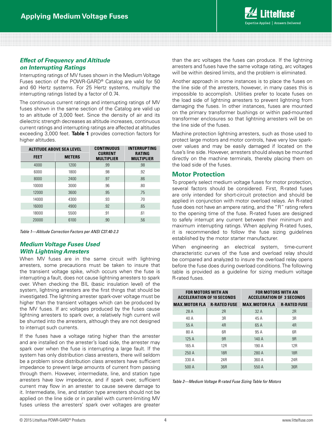

#### *Effect of Frequency and Altitude on Interrupting Ratings*

Interrupting ratings of MV fuses shown in the Medium Voltage Fuses section of the POWR-GARD® Catalog are valid for 50 and 60 Hertz systems. For 25 Hertz systems, multiply the interrupting ratings listed by a factor of 0.74.

The continuous current ratings and interrupting ratings of MV fuses shown in the same section of the Catalog are valid up to an altitude of 3,000 feet. Since the density of air and its dielectric strength decreases as altitude increases, continuous current ratings and interrupting ratings are affected at altitudes exceeding 3,000 feet. **Table 1** provides correction factors for higher altitudes.

| <b>ALTITUDE ABOVE SEA LEVEL</b> |               | <b>CONTINUOUS</b>                   | <b>INTERRUPTING</b>                |  |
|---------------------------------|---------------|-------------------------------------|------------------------------------|--|
| <b>FEET</b>                     | <b>METERS</b> | <b>CURRENT</b><br><b>MULTIPLIER</b> | <b>RATING</b><br><b>MULTIPLIER</b> |  |
| 4000                            | 1200          | .99                                 | .98                                |  |
| 6000                            | 1800          | .98                                 | .92                                |  |
| 8000                            | 2400          | .97                                 | .86                                |  |
| 10000                           | 3000          | .96                                 | .80                                |  |
| 12000                           | 3600          | .95                                 | .75                                |  |
| 14000                           | 4300          | .93                                 | .70                                |  |
| 16000                           | 4900          | .92                                 | .65                                |  |
| 18000                           | 5500          | .91                                 | .61                                |  |
| 20000                           | 6100          | .90                                 | .56                                |  |

*Table 1—Altitude Correction Factors per ANSI C37.40-2.3*

#### *Medium Voltage Fuses Used With Lightning Arresters*

When MV fuses are in the same circuit with lightning arresters, some precautions must be taken to insure that the transient voltage spike, which occurs when the fuse is interrupting a fault, does not cause lightning arresters to spark over. When checking the BIL (basic insulation level) of the system, lightning arresters are the first things that should be investigated. The lightning arrester spark-over voltage must be higher than the transient voltages which can be produced by the MV fuses. If arc voltages produced by the fuses cause lightning arresters to spark over, a relatively high current will be shunted into the arresters, although they are not designed to interrupt such currents.

If the fuses have a voltage rating higher than the arrester and are installed on the arrester's load side, the arrester may spark over when the fuse is interrupting a large fault. If the system has only distribution class arresters, there will seldom be a problem since distribution class arresters have sufficient impedance to prevent large amounts of current from passing through them. However, intermediate, line, and station type arresters have low impedance, and if spark over, sufficient current may flow in an arrester to cause severe damage to it. Intermediate, line, and station type arresters should not be applied on the line side or in parallel with current-limiting MV fuses unless the arresters' spark over voltages are greater

than the arc voltages the fuses can produce. If the lightning arresters and fuses have the same voltage rating, arc voltages will be within desired limits, and the problem is eliminated.

Another approach in some instances is to place the fuses on the line side of the arresters, however, in many cases this is impossible to accomplish. Utilities prefer to locate fuses on the load side of lightning arresters to prevent lightning from damaging the fuses. In other instances, fuses are mounted on the primary transformer bushings or within pad-mounted transformer enclosures so that lightning arresters will be on the line side of the fuses.

Machine protection lightning arresters, such as those used to protect large motors and motor controls, have very low sparkover values and may be easily damaged if located on the fuse's line side. However, arresters should always be mounted directly on the machine terminals, thereby placing them on the load side of the fuses.

#### **Motor Protection**

To properly select medium voltage fuses for motor protection, several factors should be considered. First, R-rated fuses are only intended for short-circuit protection and should be applied in conjunction with motor overload relays. An R-rated fuse does not have an ampere rating, and the "R" rating refers to the opening time of the fuse. R-rated fuses are designed to safely interrupt any current between their minimum and maximum interrupting ratings. When applying R-rated fuses, it is recommended to follow the fuse sizing guidelines established by the motor starter manufacturer.

When engineering an electrical system, time-current characteristic curves of the fuse and overload relay should be compared and analyzed to insure the overload relay opens before the fuse does during overload conditions. The following table is provided as a guideline for sizing medium voltage R-rated fuses.

| <b>FOR MOTORS WITH AN</b><br><b>ACCELERATION OF 10 SECONDS</b> |                 | <b>FOR MOTORS WITH AN</b><br><b>ACCELERATION OF 3 SECONDS</b> |                 |  |
|----------------------------------------------------------------|-----------------|---------------------------------------------------------------|-----------------|--|
| <b>MAX. MOTOR FLA R-RATED FUSE</b>                             |                 | <b>MAX. MOTOR FLA R-RATED FUSE</b>                            |                 |  |
| 28 A                                                           | 2R              | 32 A                                                          | 2R              |  |
| 40 A                                                           | 3R              | 45 A                                                          | 3R              |  |
| 55 A                                                           | 4 <sub>R</sub>  | 65 A                                                          | 4 <sub>R</sub>  |  |
| 80 A                                                           | 6R              | 95 A                                                          | 6R              |  |
| 125A                                                           | 9R              | 140A                                                          | 9R              |  |
| 165 A                                                          | 12 <sub>R</sub> | 190 A                                                         | 12 <sub>R</sub> |  |
| 250A                                                           | <b>18R</b>      | 280 A                                                         | <b>18R</b>      |  |
| 330 A                                                          | 24R             | 360 A                                                         | 24R             |  |
| 500 A                                                          | 36 <sub>R</sub> | 550 A                                                         | 36R             |  |

*Table 2—Medium Voltage R-rated Fuse Sizing Table for Motors*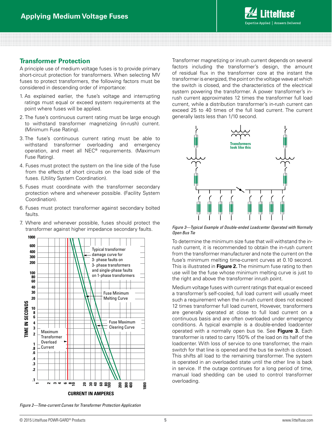

#### **Transformer Protection**

A principle use of medium voltage fuses is to provide primary short-circuit protection for transformers. When selecting MV fuses to protect transformers, the following factors must be considered in descending order of importance:

- 1. As explained earlier, the fuse's voltage and interrupting ratings must equal or exceed system requirements at the point where fuses will be applied.
- 2. The fuse's continuous current rating must be large enough to withstand transformer magnetizing (in-rush) current. (Minimum Fuse Rating).
- 3. The fuse's continuous current rating must be able to withstand transformer overloading and emergency operation, and meet all NEC® requirements. (Maximum Fuse Rating).
- 4. Fuses must protect the system on the line side of the fuse from the effects of short circuits on the load side of the fuses. (Utility System Coordination).
- 5. Fuses must coordinate with the transformer secondary protection where and whenever possible. (Facility System Coordination).
- 6. Fuses must protect transformer against secondary bolted faults.
- 7. Where and whenever possible, fuses should protect the transformer against higher impedance secondary faults.



Transformer magnetizing or inrush current depends on several factors including the transformer's design, the amount of residual flux in the transformer core at the instant the transformer is energized, the point on the voltage wave at which the switch is closed, and the characteristics of the electrical system powering the transformer. A power transformer's inrush current approximates 12 times the transformer full load current, while a distribution transformer's in-rush current can exceed 25 to 40 times of the full load current. The current generally lasts less than 1/10 second.



*Figure 3—Typical Example of Double-ended Loadcenter Operated with Normally Open Bus Tie* 

To determine the minimum size fuse that will withstand the inrush current, it is recommended to obtain the in-rush current from the transformer manufacturer and note the current on the fuse's minimum melting time-current curves at 0.10 second. This is illustrated in **Figure 2.** The minimum fuse rating to then use will be the fuse whose minimum melting curve is just to the right and above the transformer inrush point.

Medium voltage fuses with current ratings that equal or exceed a transformer's self-cooled, full load current will usually meet such a requirement when the in-rush current does not exceed 12 times transformer full load current, However, transformers are generally operated at close to full load current on a continuous basis and are often overloaded under emergency conditions. A typical example is a double-ended loadcenter operated with a normally open bus tie. See **Figure 3.** Each transformer is rated to carry 150% of the load on its half of the loadcenter. With loss of service to one transformer, the main switch for that line is opened and the bus tie switch is closed. This shifts all load to the remaining transformer. The system is operated in an overloaded state until the other line is back in service. If the outage continues for a long period of time, manual load shedding can be used to control transformer overloading.

*Figure 2—Time-current Curves for Transformer Protection Application*